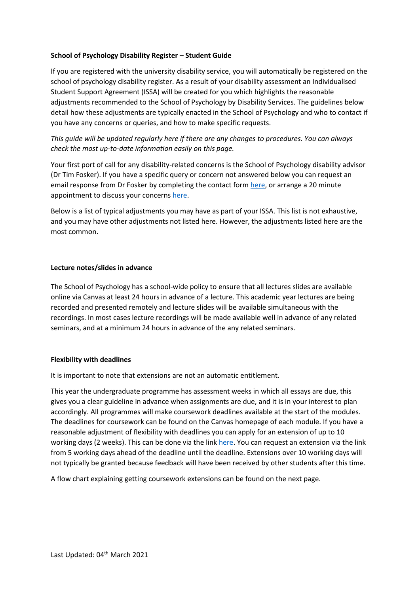# **School of Psychology Disability Register – Student Guide**

If you are registered with the university disability service, you will automatically be registered on the school of psychology disability register. As a result of your disability assessment an Individualised Student Support Agreement (ISSA) will be created for you which highlights the reasonable adjustments recommended to the School of Psychology by Disability Services. The guidelines below detail how these adjustments are typically enacted in the School of Psychology and who to contact if you have any concerns or queries, and how to make specific requests.

*This guide will be updated regularly here if there are any changes to procedures. You can always check the most up-to-date information easily on this page.*

Your first port of call for any disability-related concerns is the School of Psychology disability advisor (Dr Tim Fosker). If you have a specific query or concern not answered below you can request an email response from Dr Fosker by completing the contact form [here,](https://forms.office.com/Pages/ResponsePage.aspx?id=6ner6qW040mh6NbdI6Hyhjx-A69KxelInTNu8squ9fRUQ1oxTzRRVUswTU0yR1c1UUZWTlVBUlVFWS4u) or arrange a 20 minute appointment to discuss your concern[s here.](https://outlook.office365.com/owa/calendar/DisabilityAdvisor@qubstudentcloud.onmicrosoft.com/bookings/)

Below is a list of typical adjustments you may have as part of your ISSA. This list is not exhaustive, and you may have other adjustments not listed here. However, the adjustments listed here are the most common.

#### **Lecture notes/slides in advance**

The School of Psychology has a school-wide policy to ensure that all lectures slides are available online via Canvas at least 24 hours in advance of a lecture. This academic year lectures are being recorded and presented remotely and lecture slides will be available simultaneous with the recordings. In most cases lecture recordings will be made available well in advance of any related seminars, and at a minimum 24 hours in advance of the any related seminars.

## **Flexibility with deadlines**

It is important to note that extensions are not an automatic entitlement.

This year the undergraduate programme has assessment weeks in which all essays are due, this gives you a clear guideline in advance when assignments are due, and it is in your interest to plan accordingly. All programmes will make coursework deadlines available at the start of the modules. The deadlines for coursework can be found on the Canvas homepage of each module. If you have a reasonable adjustment of flexibility with deadlines you can apply for an extension of up to 10 working days (2 weeks). This can be done via the link [here.](https://forms.office.com/Pages/ResponsePage.aspx?id=6ner6qW040mh6NbdI6Hyhjx-A69KxelInTNu8squ9fRUREVMNFBET09YOFo0UzIwU1gyQlc1SklHVi4u) You can request an extension via the link from 5 working days ahead of the deadline until the deadline. Extensions over 10 working days will not typically be granted because feedback will have been received by other students after this time.

A flow chart explaining getting coursework extensions can be found on the next page.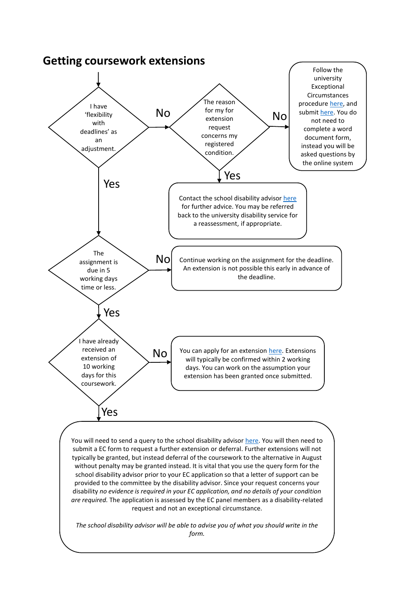